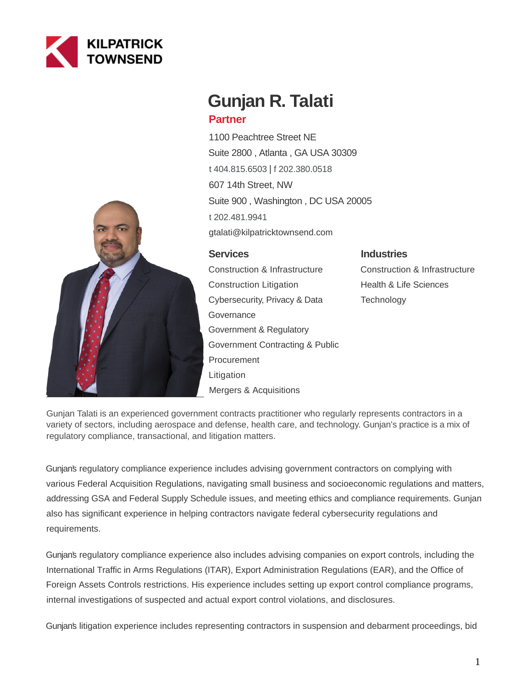



# **Gunjan R. Talati**

# **Partner**

1100 Peachtree Street NE Suite 2800 , Atlanta , GA USA 30309 [t 404.815.6503](tel:404.815.6503) | [f 202.380.0518](fax:202.380.0518) 607 14th Street, NW Suite 900 , Washington , DC USA 20005 [t 202.481.9941](tel:202.481.9941) gtalati@kilpatricktownsend.com

# **Services**

Construction & Infrastructure Construction Litigation Cybersecurity, Privacy & Data **Governance** Government & Regulatory Government Contracting & Public **Procurement Litigation** Mergers & Acquisitions

# **Industries**

Construction & Infrastructure Health & Life Sciences **Technology** 

Gunjan Talati is an experienced government contracts practitioner who regularly represents contractors in a variety of sectors, including aerospace and defense, health care, and technology. Gunjan's practice is a mix of regulatory compliance, transactional, and litigation matters.

Gunjan's regulatory compliance experience includes advising government contractors on complying with various Federal Acquisition Regulations, navigating small business and socioeconomic regulations and matters, addressing GSA and Federal Supply Schedule issues, and meeting ethics and compliance requirements. Gunjan also has significant experience in helping contractors navigate federal cybersecurity regulations and requirements.

Gunjan's regulatory compliance experience also includes advising companies on export controls, including the International Traffic in Arms Regulations (ITAR), Export Administration Regulations (EAR), and the Office of Foreign Assets Controls restrictions. His experience includes setting up export control compliance programs, internal investigations of suspected and actual export control violations, and disclosures.

Gunjan's litigation experience includes representing contractors in suspension and debarment proceedings, bid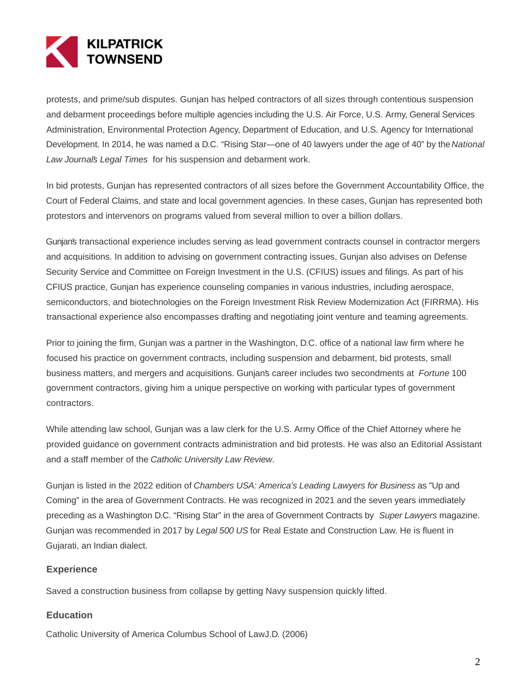

protests, and prime/sub disputes. Gunjan has helped contractors of all sizes through contentious suspension and debarment proceedings before multiple agencies including the U.S. Air Force, U.S. Army, General Services Administration, Environmental Protection Agency, Department of Education, and U.S. Agency for International Development. In 2014, he was named a D.C. "Rising Star—one of 40 lawyers under the age of 40" by the National Law Journal's Legal Times for his suspension and debarment work.

In bid protests, Gunjan has represented contractors of all sizes before the Government Accountability Office, the Court of Federal Claims, and state and local government agencies. In these cases, Gunjan has represented both protestors and intervenors on programs valued from several million to over a billion dollars.

Gunjan's transactional experience includes serving as lead government contracts counsel in contractor mergers and acquisitions. In addition to advising on government contracting issues, Gunjan also advises on Defense Security Service and Committee on Foreign Investment in the U.S. (CFIUS) issues and filings. As part of his CFIUS practice, Gunjan has experience counseling companies in various industries, including aerospace, semiconductors, and biotechnologies on the Foreign Investment Risk Review Modernization Act (FIRRMA). His transactional experience also encompasses drafting and negotiating joint venture and teaming agreements.

Prior to joining the firm, Gunjan was a partner in the Washington, D.C. office of a national law firm where he focused his practice on government contracts, including suspension and debarment, bid protests, small business matters, and mergers and acquisitions. Gunjan's career includes two secondments at Fortune 100 government contractors, giving him a unique perspective on working with particular types of government contractors.

While attending law school, Gunjan was a law clerk for the U.S. Army Office of the Chief Attorney where he provided guidance on government contracts administration and bid protests. He was also an Editorial Assistant and a staff member of the Catholic University Law Review.

Gunjan is listed in the 2022 edition of Chambers USA: America's Leading Lawyers for Business as "Up and Coming" in the area of Government Contracts. He was recognized in 2021 and the seven years immediately preceding as a Washington D.C. "Rising Star" in the area of Government Contracts by Super Lawyers magazine. Gunjan was recommended in 2017 by Legal 500 US for Real Estate and Construction Law. He is fluent in Gujarati, an Indian dialect.

# **Experience**

Saved a construction business from collapse by getting Navy suspension quickly lifted.

#### **Education**

Catholic University of America Columbus School of LawJ.D. (2006)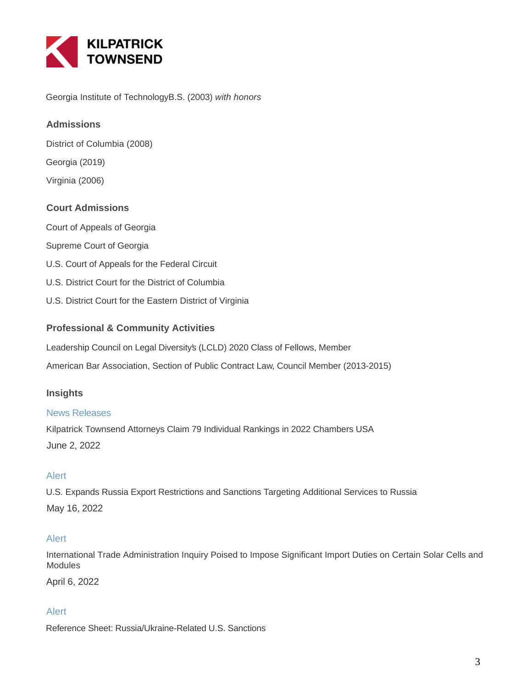

Georgia Institute of TechnologyB.S. (2003) with honors

# **Admissions**

District of Columbia (2008)

Georgia (2019)

Virginia (2006)

# **Court Admissions**

Court of Appeals of Georgia

- Supreme Court of Georgia
- U.S. Court of Appeals for the Federal Circuit
- U.S. District Court for the District of Columbia
- U.S. District Court for the Eastern District of Virginia

# **Professional & Community Activities**

Leadership Council on Legal Diversity's (LCLD) 2020 Class of Fellows, Member

American Bar Association, Section of Public Contract Law, Council Member (2013-2015)

# **Insights**

#### News Releases

Kilpatrick Townsend Attorneys Claim 79 Individual Rankings in 2022 Chambers USA June 2, 2022

# Alert

U.S. Expands Russia Export Restrictions and Sanctions Targeting Additional Services to Russia May 16, 2022

# Alert

International Trade Administration Inquiry Poised to Impose Significant Import Duties on Certain Solar Cells and Modules

April 6, 2022

# Alert

Reference Sheet: Russia/Ukraine-Related U.S. Sanctions